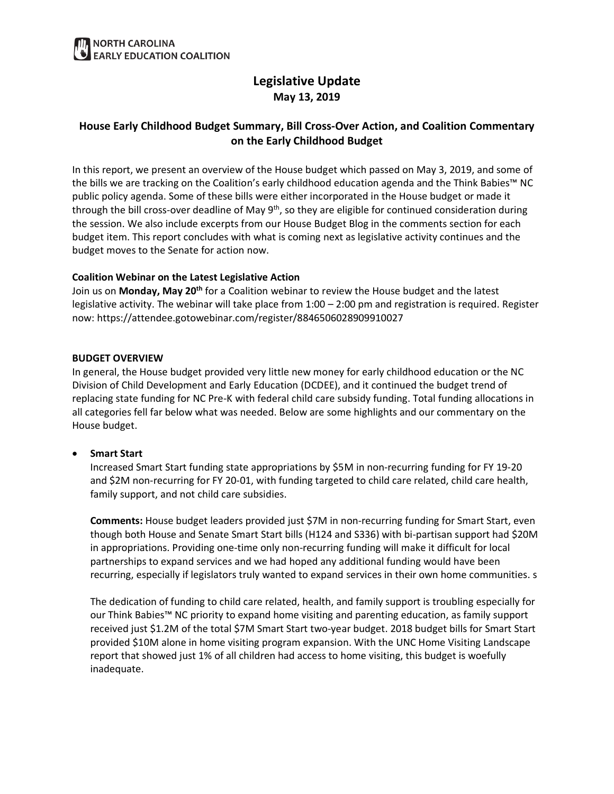# **Legislative Update May 13, 2019**

## **House Early Childhood Budget Summary, Bill Cross-Over Action, and Coalition Commentary on the Early Childhood Budget**

In this report, we present an overview of the House budget which passed on May 3, 2019, and some of the bills we are tracking on the Coalition's early childhood education agenda and the Think Babies™ NC public policy agenda. Some of these bills were either incorporated in the House budget or made it through the bill cross-over deadline of May  $9<sup>th</sup>$ , so they are eligible for continued consideration during the session. We also include excerpts from our House Budget Blog in the comments section for each budget item. This report concludes with what is coming next as legislative activity continues and the budget moves to the Senate for action now.

### **Coalition Webinar on the Latest Legislative Action**

Join us on **Monday, May 20th** for a Coalition webinar to review the House budget and the latest legislative activity. The webinar will take place from 1:00 – 2:00 pm and registration is required. Register now: https://attendee.gotowebinar.com/register/8846506028909910027

#### **BUDGET OVERVIEW**

In general, the House budget provided very little new money for early childhood education or the NC Division of Child Development and Early Education (DCDEE), and it continued the budget trend of replacing state funding for NC Pre-K with federal child care subsidy funding. Total funding allocations in all categories fell far below what was needed. Below are some highlights and our commentary on the House budget.

## • **Smart Start**

Increased Smart Start funding state appropriations by \$5M in non-recurring funding for FY 19-20 and \$2M non-recurring for FY 20-01, with funding targeted to child care related, child care health, family support, and not child care subsidies.

**Comments:** House budget leaders provided just \$7M in non-recurring funding for Smart Start, even though both House and Senate Smart Start bills (H124 and S336) with bi-partisan support had \$20M in appropriations. Providing one-time only non-recurring funding will make it difficult for local partnerships to expand services and we had hoped any additional funding would have been recurring, especially if legislators truly wanted to expand services in their own home communities. s

The dedication of funding to child care related, health, and family support is troubling especially for our Think Babies™ NC priority to expand home visiting and parenting education, as family support received just \$1.2M of the total \$7M Smart Start two-year budget. 2018 budget bills for Smart Start provided \$10M alone in home visiting program expansion. With the UNC Home Visiting Landscape report that showed just 1% of all children had access to home visiting, this budget is woefully inadequate.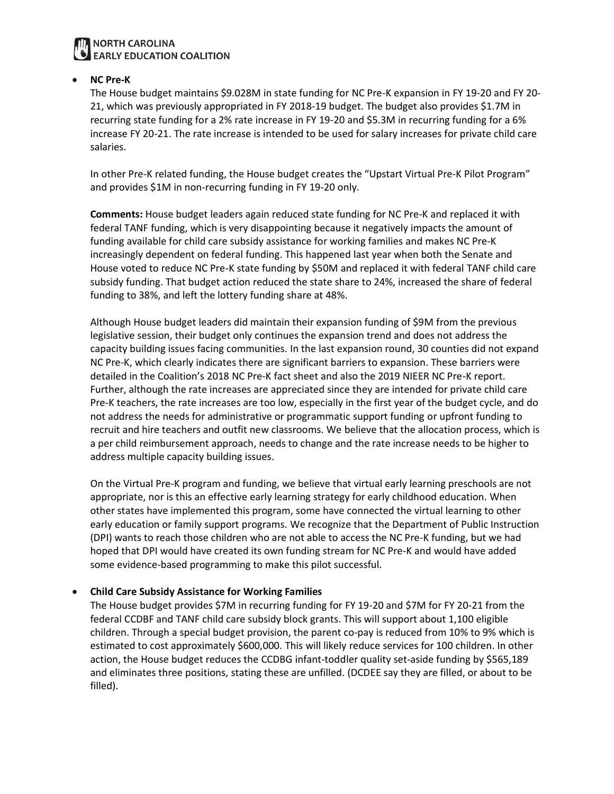## **NORTH CAROLINA EARLY EDUCATION COALITION**

### • **NC Pre-K**

The House budget maintains \$9.028M in state funding for NC Pre-K expansion in FY 19-20 and FY 20- 21, which was previously appropriated in FY 2018-19 budget. The budget also provides \$1.7M in recurring state funding for a 2% rate increase in FY 19-20 and \$5.3M in recurring funding for a 6% increase FY 20-21. The rate increase is intended to be used for salary increases for private child care salaries.

In other Pre-K related funding, the House budget creates the "Upstart Virtual Pre-K Pilot Program" and provides \$1M in non-recurring funding in FY 19-20 only.

**Comments:** House budget leaders again reduced state funding for NC Pre-K and replaced it with federal TANF funding, which is very disappointing because it negatively impacts the amount of funding available for child care subsidy assistance for working families and makes NC Pre-K increasingly dependent on federal funding. This happened last year when both the Senate and House voted to reduce NC Pre-K state funding by \$50M and replaced it with federal TANF child care subsidy funding. That budget action reduced the state share to 24%, increased the share of federal funding to 38%, and left the lottery funding share at 48%.

Although House budget leaders did maintain their expansion funding of \$9M from the previous legislative session, their budget only continues the expansion trend and does not address the capacity building issues facing communities. In the last expansion round, 30 counties did not expand NC Pre-K, which clearly indicates there are significant barriers to expansion. These barriers were detailed in the Coalition's 2018 NC Pre-K fact sheet and also the 2019 NIEER NC Pre-K report. Further, although the rate increases are appreciated since they are intended for private child care Pre-K teachers, the rate increases are too low, especially in the first year of the budget cycle, and do not address the needs for administrative or programmatic support funding or upfront funding to recruit and hire teachers and outfit new classrooms. We believe that the allocation process, which is a per child reimbursement approach, needs to change and the rate increase needs to be higher to address multiple capacity building issues.

On the Virtual Pre-K program and funding, we believe that virtual early learning preschools are not appropriate, nor is this an effective early learning strategy for early childhood education. When other states have implemented this program, some have connected the virtual learning to other early education or family support programs. We recognize that the Department of Public Instruction (DPI) wants to reach those children who are not able to access the NC Pre-K funding, but we had hoped that DPI would have created its own funding stream for NC Pre-K and would have added some evidence-based programming to make this pilot successful.

#### • **Child Care Subsidy Assistance for Working Families**

The House budget provides \$7M in recurring funding for FY 19-20 and \$7M for FY 20-21 from the federal CCDBF and TANF child care subsidy block grants. This will support about 1,100 eligible children. Through a special budget provision, the parent co-pay is reduced from 10% to 9% which is estimated to cost approximately \$600,000. This will likely reduce services for 100 children. In other action, the House budget reduces the CCDBG infant-toddler quality set-aside funding by \$565,189 and eliminates three positions, stating these are unfilled. (DCDEE say they are filled, or about to be filled).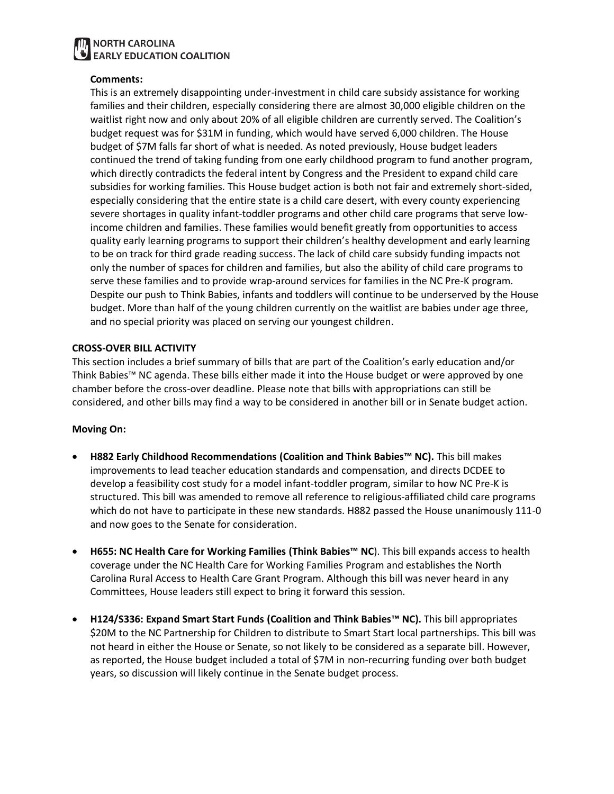## **NORTH CAROLINA EARLY EDUCATION COALITION**

#### **Comments:**

This is an extremely disappointing under-investment in child care subsidy assistance for working families and their children, especially considering there are almost 30,000 eligible children on the waitlist right now and only about 20% of all eligible children are currently served. The Coalition's budget request was for \$31M in funding, which would have served 6,000 children. The House budget of \$7M falls far short of what is needed. As noted previously, House budget leaders continued the trend of taking funding from one early childhood program to fund another program, which directly contradicts the federal intent by Congress and the President to expand child care subsidies for working families. This House budget action is both not fair and extremely short-sided, especially considering that the entire state is a child care desert, with every county experiencing severe shortages in quality infant-toddler programs and other child care programs that serve lowincome children and families. These families would benefit greatly from opportunities to access quality early learning programs to support their children's healthy development and early learning to be on track for third grade reading success. The lack of child care subsidy funding impacts not only the number of spaces for children and families, but also the ability of child care programs to serve these families and to provide wrap-around services for families in the NC Pre-K program. Despite our push to Think Babies, infants and toddlers will continue to be underserved by the House budget. More than half of the young children currently on the waitlist are babies under age three, and no special priority was placed on serving our youngest children.

#### **CROSS-OVER BILL ACTIVITY**

This section includes a brief summary of bills that are part of the Coalition's early education and/or Think Babies™ NC agenda. These bills either made it into the House budget or were approved by one chamber before the cross-over deadline. Please note that bills with appropriations can still be considered, and other bills may find a way to be considered in another bill or in Senate budget action.

#### **Moving On:**

- **H882 Early Childhood Recommendations (Coalition and Think Babies™ NC).** This bill makes improvements to lead teacher education standards and compensation, and directs DCDEE to develop a feasibility cost study for a model infant-toddler program, similar to how NC Pre-K is structured. This bill was amended to remove all reference to religious-affiliated child care programs which do not have to participate in these new standards. H882 passed the House unanimously 111-0 and now goes to the Senate for consideration.
- **H655: NC Health Care for Working Families (Think Babies™ NC**). This bill expands access to health coverage under the NC Health Care for Working Families Program and establishes the North Carolina Rural Access to Health Care Grant Program. Although this bill was never heard in any Committees, House leaders still expect to bring it forward this session.
- **H124/S336: Expand Smart Start Funds (Coalition and Think Babies™ NC).** This bill appropriates \$20M to the NC Partnership for Children to distribute to Smart Start local partnerships. This bill was not heard in either the House or Senate, so not likely to be considered as a separate bill. However, as reported, the House budget included a total of \$7M in non-recurring funding over both budget years, so discussion will likely continue in the Senate budget process.